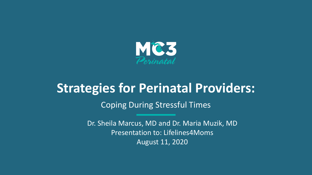

# **Strategies for Perinatal Providers:**

Coping During Stressful Times

Dr. Sheila Marcus, MD and Dr. Maria Muzik, MD Presentation to: Lifelines4Moms August 11, 2020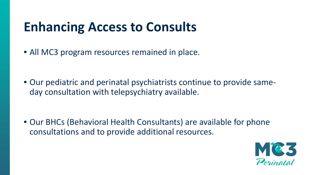# **Enhancing Access to Consults**

• All MC3 program resources remained in place.

• Our pediatric and perinatal psychiatrists continue to provide sameday consultation with telepsychiatry available.

• Our BHCs (Behavioral Health Consultants) are available for phone consultations and to provide additional resources.

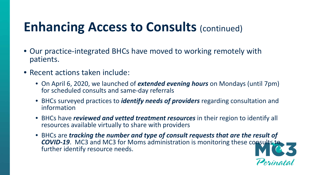# **Enhancing Access to Consults (continued)**

- Our practice-integrated BHCs have moved to working remotely with patients.
- Recent actions taken include:
	- On April 6, 2020, we launched of *extended evening hours* on Mondays (until 7pm) for scheduled consults and same-day referrals
	- BHCs surveyed practices to *identify needs of providers* regarding consultation and information
	- BHCs have *reviewed and vetted treatment resources* in their region to identify all resources available virtually to share with providers
	- BHCs are *tracking the number and type of consult requests that are the result of*  **COVID-19.** MC3 and MC3 for Moms administration is monitoring these consults to further identify resource needs.

Perinatal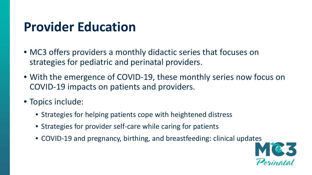# **Provider Education**

- MC3 offers providers a monthly didactic series that focuses on strategies for pediatric and perinatal providers.
- With the emergence of COVID-19, these monthly series now focus on COVID-19 impacts on patients and providers.
- Topics include:
	- Strategies for helping patients cope with heightened distress
	- Strategies for provider self-care while caring for patients
	- COVID-19 and pregnancy, birthing, and breastfeeding: clinical updates

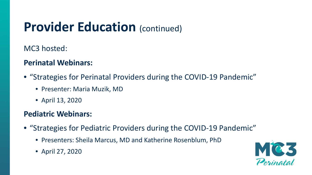# **Provider Education** (continued)

MC3 hosted:

## **Perinatal Webinars:**

- "Strategies for Perinatal Providers during the COVID-19 Pandemic"
	- Presenter: Maria Muzik, MD
	- April 13, 2020

### **Pediatric Webinars:**

- "Strategies for Pediatric Providers during the COVID-19 Pandemic"
	- Presenters: Sheila Marcus, MD and Katherine Rosenblum, PhD
	- April 27, 2020

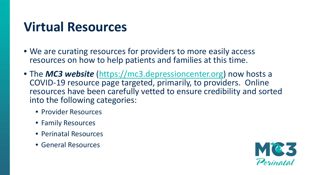# **Virtual Resources**

- We are curating resources for providers to more easily access resources on how to help patients and families at this time.
- The *MC3 website* ([https://mc3.depressioncenter.org\)](https://mc3.depressioncenter.org/) now hosts a COVID-19 resource page targeted, primarily, to providers. Online resources have been carefully vetted to ensure credibility and sorted into the following categories:
	- Provider Resources
	- Family Resources
	- Perinatal Resources
	- General Resources

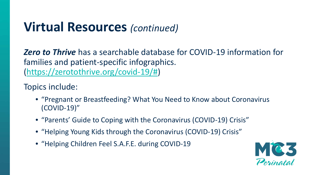# **Virtual Resources** *(continued)*

*Zero to Thrive* has a searchable database for COVID-19 information for families and patient-specific infographics. ([https://zerotothrive.org/covid-19/#](https://zerotothrive.org/covid-19/))

Topics include:

- "Pregnant or Breastfeeding? What You Need to Know about Coronavirus (COVID-19)"
- "Parents' Guide to Coping with the Coronavirus (COVID-19) Crisis"
- "Helping Young Kids through the Coronavirus (COVID-19) Crisis"
- "Helping Children Feel S.A.F.E. during COVID-19

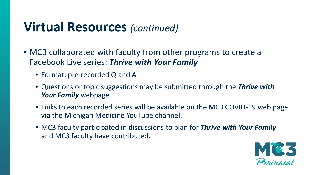# **Virtual Resources** *(continued)*

- MC3 collaborated with faculty from other programs to create a Facebook Live series: *Thrive with Your Family*
	- Format: pre-recorded Q and A
	- Questions or topic suggestions may be submitted through the *Thrive with Your Family* webpage.
	- Links to each recorded series will be available on the MC3 COVID-19 web page via the Michigan Medicine YouTube channel.
	- MC3 faculty participated in discussions to plan for *Thrive with Your Family*  and MC3 faculty have contributed.

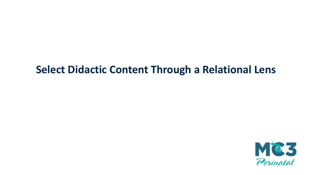## **Select Didactic Content Through a Relational Lens**

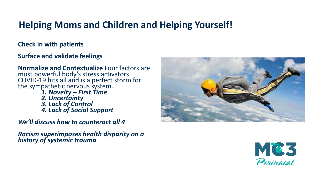## **Helping Moms and Children and Helping Yourself!**

#### **Check in with patients**

#### **Surface and validate feelings**

**Normalize and Contextualize** Four factors are most powerful body's stress activators. COVID-19 hits all and is a perfect storm for<br>the sympathetic nervous system. *1. Novelty – First Time*

*2. Uncertainty 3. Lack of Control 4. Lack of Social Support*

*We'll discuss how to counteract all 4*

*Racism superimposes health disparity on a history of systemic trauma*



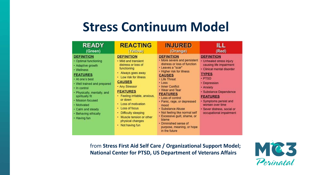# **Stress Continuum Model**

| <b>READY</b>                                                                                                                                                                                                                                                                                                          | <b>REACTING</b>                                                                                                                                                                                                                                                                                                                                                                 | <b>INJURED</b>                                                                                                                                                                                                                                                                                                                                                                                                                                                                     | ILL                                                                                                                                                                                                                                                                                                                |
|-----------------------------------------------------------------------------------------------------------------------------------------------------------------------------------------------------------------------------------------------------------------------------------------------------------------------|---------------------------------------------------------------------------------------------------------------------------------------------------------------------------------------------------------------------------------------------------------------------------------------------------------------------------------------------------------------------------------|------------------------------------------------------------------------------------------------------------------------------------------------------------------------------------------------------------------------------------------------------------------------------------------------------------------------------------------------------------------------------------------------------------------------------------------------------------------------------------|--------------------------------------------------------------------------------------------------------------------------------------------------------------------------------------------------------------------------------------------------------------------------------------------------------------------|
| (Green)                                                                                                                                                                                                                                                                                                               | (Yellow)                                                                                                                                                                                                                                                                                                                                                                        | (Orange)                                                                                                                                                                                                                                                                                                                                                                                                                                                                           | (Red)                                                                                                                                                                                                                                                                                                              |
| <b>DEFINITION</b><br>• Optimal functioning<br>• Adaptive growth<br>• Wellness<br><b>FEATURES</b><br>• At one's best<br>· Well trained and prepared<br>• In control<br>· Physically, mentally, and<br>spiritually fit<br>• Mission focused<br>• Motivated<br>• Calm and steady<br>• Behaving ethically<br>• Having fun | <b>DEFINITION</b><br>• Mild and transient<br>distress or loss of<br>functioning<br>• Always goes away<br>• Low risk for illness<br><b>CAUSES</b><br>• Any Stressor<br><b>FEATURES</b><br>· Feeling irritable, anxious,<br>or down<br>• Loss of motivation<br>• Loss of focus<br><b>Difficulty sleeping</b><br>• Muscle tension or other<br>physical changes<br>• Not having fun | <b>DEFINITION</b><br>. More severe and persistent<br>distress or loss of function<br>· Leaves a "scar"<br>• Higher risk for illness<br><b>CAUSES</b><br>• Life Threat<br>$\cdot$ Loss<br>• Inner Conflict<br>• Wear and Tear<br><b>FEATURES</b><br>• Loss of control<br>· Panic, rage, or depressed<br>mood<br>· Substance Abuse<br>· Not feeling like normal self<br>· Excessive guilt, shame, or<br>blame<br>· Diminished sense of<br>purpose, meaning, or hope<br>in the future | <b>DEFINITION</b><br>· Unhealed stress injury<br>causing life impairment<br>· Clinical mental disorder<br><b>TYPES</b><br>· PTSD<br>• Depression<br>• Anxiety<br>· Substance Dependence<br><b>FEATURES</b><br>· Symptoms persist and<br>worsen over time<br>· Sever distress, social or<br>occupational impairment |

from **Stress First Aid Self Care / Organizational Support Model; National Center for PTSD, US Department of Veterans Affairs**

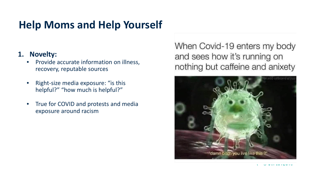#### **1. Novelty:**

- Provide accurate information on illness, recovery, reputable sources
- Right-size media exposure: "is this helpful?" "how much is helpful?"
- True for COVID and protests and media exposure around racism

When Covid-19 enters my body and sees how it's running on nothing but caffeine and anixety

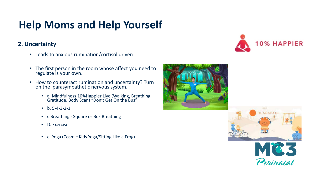#### **2. Uncertainty**

- Leads to anxious rumination/cortisol driven
- The first person in the room whose affect you need to regulate is your own.
- How to counteract rumination and uncertainty? Turn on the parasympathetic nervous system.
	- a. Mindfulness 10%Happier Live (Walking, Breathing, Gratitude, Body Scan) "Don't Get On the Bus"
	- $b. 5-4-3-2-1$
	- c Breathing Square or Box Breathing
	- D. Exercise
	- e. Yoga (Cosmic Kids Yoga/Sitting Like a Frog)







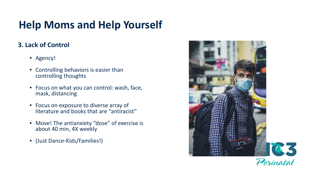### **3. Lack of Control**

- Agency!
- Controlling behaviors is easier than controlling thoughts
- Focus on what you can control: wash, face, mask, distancing
- Focus on exposure to diverse array of literature and books that are "antiracist"
- Move! The antianxiety "dose" of exercise is about 40 min, 4X weekly
- (Just Dance-Kids/Families!)

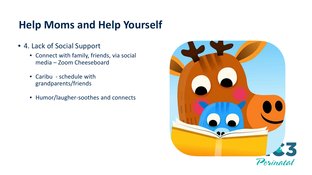- 4. Lack of Social Support
	- Connect with family, friends, via social media – Zoom Cheeseboard
	- Caribu schedule with grandparents/friends
	- Humor/laugher-soothes and connects

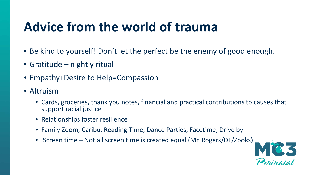# **Advice from the world of trauma**

- Be kind to yourself! Don't let the perfect be the enemy of good enough.
- Gratitude nightly ritual
- Empathy+Desire to Help=Compassion
- Altruism
	- Cards, groceries, thank you notes, financial and practical contributions to causes that support racial justice
	- Relationships foster resilience
	- Family Zoom, Caribu, Reading Time, Dance Parties, Facetime, Drive by
	- Screen time Not all screen time is created equal (Mr. Rogers/DT/Zooks)

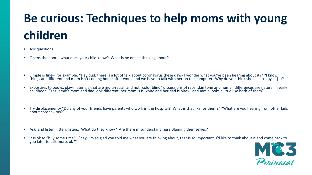# **Be curious: Techniques to help moms with young children**

- Ask questions
- Opens the door what does your child know? What is he or she thinking about?
- Simple is fine– for example: "Hey bud, there is a lot of talk about coronavirus these days- I wonder what you've been hearing about it?" "I know things are different and mom isn't coming home after work, and we have to talk with her on the computer. Why do you think she has to stay at [..}?
- Exposures to books, play-materials that are multi-racial, and not "color blind" discussions of race, skin tone and human differences are natural in early childhood. "Yes Jamie's mom and dad look different, her mom is is
- Try displacement– "Do any of your friends have parents who work in the hospital? What is that like for them?" "What are you hearing from other kids about coronavirus?"
- Ask, and listen, listen, listen.. What do they know? Are there misunderstandings? Blaming themselves?
- It is ok to "buy some time"– "hey, I'm so glad you told me what you are thinking about, that is so important, I'd like to think about it and come back to you later to talk more, ok?"

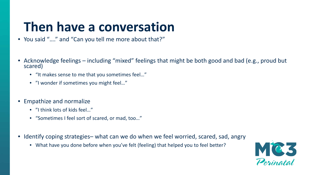# **Then have a conversation**

- You said "…." and "Can you tell me more about that?"
- Acknowledge feelings including "mixed" feelings that might be both good and bad (e.g., proud but scared)
	- "It makes sense to me that you sometimes feel…"
	- "I wonder if sometimes you might feel…"
- Empathize and normalize
	- "I think lots of kids feel..."
	- "Sometimes I feel sort of scared, or mad, too…"
- Identify coping strategies– what can we do when we feel worried, scared, sad, angry
	- What have you done before when you've felt (feeling) that helped you to feel better?

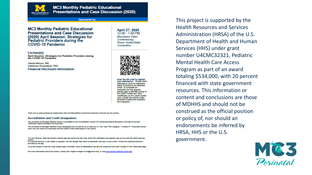

#### Sponsored by:

**MC3 Monthly Pediatric Educational Presentations and Case Discussion** (2020) April Session: Strategies for<br>Pediatric Providers during the **COVID-19 Pandemic** 

Lecture(s): April Session: Strategies for Pediatric Providers during the COVID-19 Pandemic

Sheila Marcus, MD Katherine Rosenblum, PhD **Financial Disclosure Information:**  April 27, 2020 12:00 - 1:00 PM **BlueJeans Video** Conferencina Room: Audio/Video Connection



Scan the QR code to register your attendance. " Please Note. Attendance must be registered vithin 6 months to be awarded credit To comolete an evaluation for this session lease login to MICME and go to he Claim Credits and View **Certificates on the Credit Cente** card. Locate the activity under Awarded Credits and complete he evaluation

There are no relevant financial relationships with ACCME-defined commercial interests to disclose for this activity

#### **Accreditation and Credit Designation:**

The University of Michigan Medical School is accredited by the Accreditation Council for Continuing Medical Education (ACCME) to provide continuing medical education for physicians.

The University of Michigan Medical School designates this live activity for a maximum of 1.00 AMA PRA Category 1 Credit(s)<sup>26</sup>. Physicians should claim only the credit commensurate with the extent of their participation in the activity.

'For IOS devices: Open the phone's camera app and hover over the code. When the notification box appears, tap on it to open the credit claiming For Android Devices: A QR reader is required. Visit the Google Play store to download a QR app of your choice. Follow the scanning directions provided by the app.

If you are unable to scan the code, please login to MICME. Hours of participation can also be entered on the Claim Credits & Print Transcripts page

For more information about this activity, contact Erin Hughes-Krieger at enh@umich.edu, or visit www.micme.medicine.umich.ed

This project is supported by the Health Resources and Services Administration (HRSA) of the U.S. Department of Health and Human Services (HHS) under grant number U4CMC32321, Pediatric Mental Health Care Access Program as part of an award totaling \$534,000, with 20 percent financed with state government resources. This information or content and conclusions are those of MDHHS and should not be construed as the official position or policy of, nor should an endorsements be inferred by HRSA, HHS or the U.S. government.